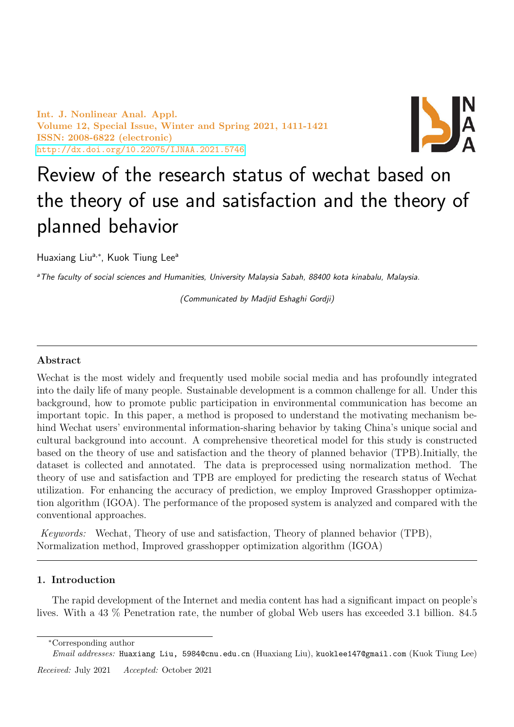Int. J. Nonlinear Anal. Appl. Volume 12, Special Issue, Winter and Spring 2021, 1411-1421 ISSN: 2008-6822 (electronic) <http://dx.doi.org/10.22075/IJNAA.2021.5746>



# Review of the research status of wechat based on the theory of use and satisfaction and the theory of planned behavior

Huaxiang Liu<sup>a,\*</sup>, Kuok Tiung Lee<sup>a</sup>

<sup>a</sup>The faculty of social sciences and Humanities, University Malaysia Sabah, 88400 kota kinabalu, Malaysia.

(Communicated by Madjid Eshaghi Gordji)

# Abstract

Wechat is the most widely and frequently used mobile social media and has profoundly integrated into the daily life of many people. Sustainable development is a common challenge for all. Under this background, how to promote public participation in environmental communication has become an important topic. In this paper, a method is proposed to understand the motivating mechanism behind Wechat users' environmental information-sharing behavior by taking China's unique social and cultural background into account. A comprehensive theoretical model for this study is constructed based on the theory of use and satisfaction and the theory of planned behavior (TPB).Initially, the dataset is collected and annotated. The data is preprocessed using normalization method. The theory of use and satisfaction and TPB are employed for predicting the research status of Wechat utilization. For enhancing the accuracy of prediction, we employ Improved Grasshopper optimization algorithm (IGOA). The performance of the proposed system is analyzed and compared with the conventional approaches.

Keywords: Wechat, Theory of use and satisfaction, Theory of planned behavior (TPB), Normalization method, Improved grasshopper optimization algorithm (IGOA)

## 1. Introduction

The rapid development of the Internet and media content has had a significant impact on people's lives. With a 43 % Penetration rate, the number of global Web users has exceeded 3.1 billion. 84.5

Email addresses: Huaxiang Liu, 5984@cnu.edu.cn (Huaxiang Liu), kuoklee147@gmail.com (Kuok Tiung Lee)

Received: July 2021 Accepted: October 2021

<sup>∗</sup>Corresponding author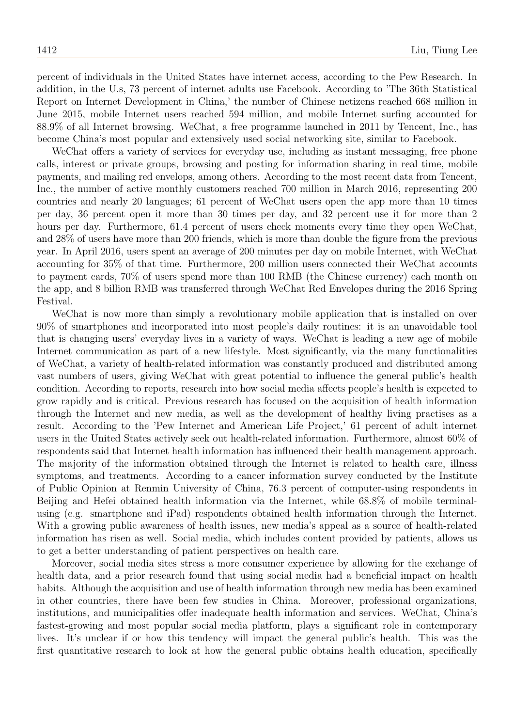percent of individuals in the United States have internet access, according to the Pew Research. In addition, in the U.s, 73 percent of internet adults use Facebook. According to 'The 36th Statistical Report on Internet Development in China,' the number of Chinese netizens reached 668 million in June 2015, mobile Internet users reached 594 million, and mobile Internet surfing accounted for 88.9% of all Internet browsing. WeChat, a free programme launched in 2011 by Tencent, Inc., has become China's most popular and extensively used social networking site, similar to Facebook.

WeChat offers a variety of services for everyday use, including as instant messaging, free phone calls, interest or private groups, browsing and posting for information sharing in real time, mobile payments, and mailing red envelops, among others. According to the most recent data from Tencent, Inc., the number of active monthly customers reached 700 million in March 2016, representing 200 countries and nearly 20 languages; 61 percent of WeChat users open the app more than 10 times per day, 36 percent open it more than 30 times per day, and 32 percent use it for more than 2 hours per day. Furthermore, 61.4 percent of users check moments every time they open WeChat, and 28% of users have more than 200 friends, which is more than double the figure from the previous year. In April 2016, users spent an average of 200 minutes per day on mobile Internet, with WeChat accounting for 35% of that time. Furthermore, 200 million users connected their WeChat accounts to payment cards, 70% of users spend more than 100 RMB (the Chinese currency) each month on the app, and 8 billion RMB was transferred through WeChat Red Envelopes during the 2016 Spring Festival.

WeChat is now more than simply a revolutionary mobile application that is installed on over 90% of smartphones and incorporated into most people's daily routines: it is an unavoidable tool that is changing users' everyday lives in a variety of ways. WeChat is leading a new age of mobile Internet communication as part of a new lifestyle. Most significantly, via the many functionalities of WeChat, a variety of health-related information was constantly produced and distributed among vast numbers of users, giving WeChat with great potential to influence the general public's health condition. According to reports, research into how social media affects people's health is expected to grow rapidly and is critical. Previous research has focused on the acquisition of health information through the Internet and new media, as well as the development of healthy living practises as a result. According to the 'Pew Internet and American Life Project,' 61 percent of adult internet users in the United States actively seek out health-related information. Furthermore, almost 60% of respondents said that Internet health information has influenced their health management approach. The majority of the information obtained through the Internet is related to health care, illness symptoms, and treatments. According to a cancer information survey conducted by the Institute of Public Opinion at Renmin University of China, 76.3 percent of computer-using respondents in Beijing and Hefei obtained health information via the Internet, while 68.8% of mobile terminalusing (e.g. smartphone and iPad) respondents obtained health information through the Internet. With a growing public awareness of health issues, new media's appeal as a source of health-related information has risen as well. Social media, which includes content provided by patients, allows us to get a better understanding of patient perspectives on health care.

Moreover, social media sites stress a more consumer experience by allowing for the exchange of health data, and a prior research found that using social media had a beneficial impact on health habits. Although the acquisition and use of health information through new media has been examined in other countries, there have been few studies in China. Moreover, professional organizations, institutions, and municipalities offer inadequate health information and services. WeChat, China's fastest-growing and most popular social media platform, plays a significant role in contemporary lives. It's unclear if or how this tendency will impact the general public's health. This was the first quantitative research to look at how the general public obtains health education, specifically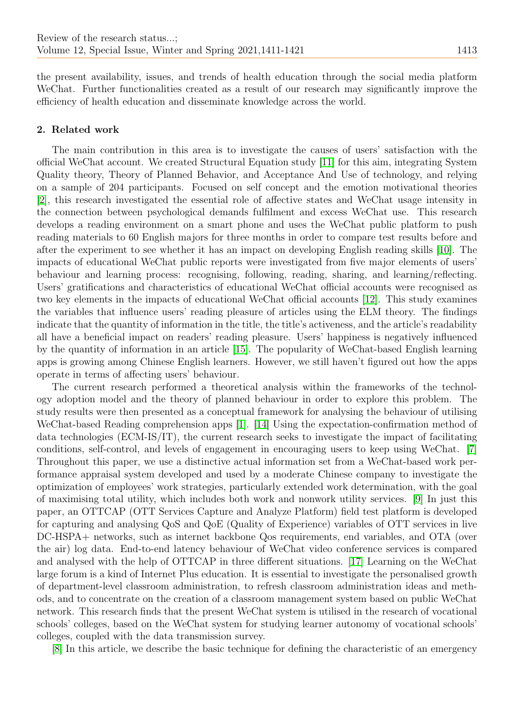the present availability, issues, and trends of health education through the social media platform WeChat. Further functionalities created as a result of our research may significantly improve the efficiency of health education and disseminate knowledge across the world.

# 2. Related work

The main contribution in this area is to investigate the causes of users' satisfaction with the official WeChat account. We created Structural Equation study [\[11\]](#page-10-0) for this aim, integrating System Quality theory, Theory of Planned Behavior, and Acceptance And Use of technology, and relying on a sample of 204 participants. Focused on self concept and the emotion motivational theories [\[2\]](#page-10-1), this research investigated the essential role of affective states and WeChat usage intensity in the connection between psychological demands fulfilment and excess WeChat use. This research develops a reading environment on a smart phone and uses the WeChat public platform to push reading materials to 60 English majors for three months in order to compare test results before and after the experiment to see whether it has an impact on developing English reading skills [\[10\]](#page-10-2). The impacts of educational WeChat public reports were investigated from five major elements of users' behaviour and learning process: recognising, following, reading, sharing, and learning/reflecting. Users' gratifications and characteristics of educational WeChat official accounts were recognised as two key elements in the impacts of educational WeChat official accounts [\[12\]](#page-10-3). This study examines the variables that influence users' reading pleasure of articles using the ELM theory. The findings indicate that the quantity of information in the title, the title's activeness, and the article's readability all have a beneficial impact on readers' reading pleasure. Users' happiness is negatively influenced by the quantity of information in an article [\[15\]](#page-10-4). The popularity of WeChat-based English learning apps is growing among Chinese English learners. However, we still haven't figured out how the apps operate in terms of affecting users' behaviour.

The current research performed a theoretical analysis within the frameworks of the technology adoption model and the theory of planned behaviour in order to explore this problem. The study results were then presented as a conceptual framework for analysing the behaviour of utilising WeChat-based Reading comprehension apps [\[1\]](#page-10-5). [\[14\]](#page-10-6) Using the expectation-confirmation method of data technologies (ECM-IS/IT), the current research seeks to investigate the impact of facilitating conditions, self-control, and levels of engagement in encouraging users to keep using WeChat. [\[7\]](#page-10-7) Throughout this paper, we use a distinctive actual information set from a WeChat-based work performance appraisal system developed and used by a moderate Chinese company to investigate the optimization of employees' work strategies, particularly extended work determination, with the goal of maximising total utility, which includes both work and nonwork utility services. [\[9\]](#page-10-8) In just this paper, an OTTCAP (OTT Services Capture and Analyze Platform) field test platform is developed for capturing and analysing QoS and QoE (Quality of Experience) variables of OTT services in live DC-HSPA+ networks, such as internet backbone Qos requirements, end variables, and OTA (over the air) log data. End-to-end latency behaviour of WeChat video conference services is compared and analysed with the help of OTTCAP in three different situations. [\[17\]](#page-10-9) Learning on the WeChat large forum is a kind of Internet Plus education. It is essential to investigate the personalised growth of department-level classroom administration, to refresh classroom administration ideas and methods, and to concentrate on the creation of a classroom management system based on public WeChat network. This research finds that the present WeChat system is utilised in the research of vocational schools' colleges, based on the WeChat system for studying learner autonomy of vocational schools' colleges, coupled with the data transmission survey.

[\[8\]](#page-10-10) In this article, we describe the basic technique for defining the characteristic of an emergency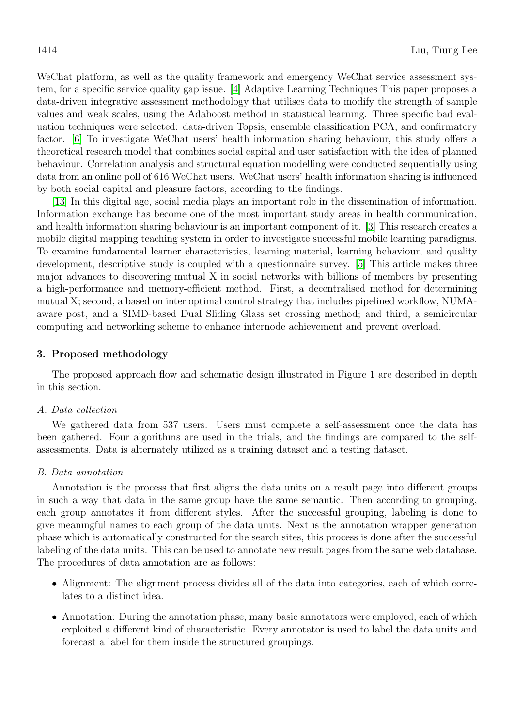WeChat platform, as well as the quality framework and emergency WeChat service assessment system, for a specific service quality gap issue. [\[4\]](#page-10-11) Adaptive Learning Techniques This paper proposes a data-driven integrative assessment methodology that utilises data to modify the strength of sample values and weak scales, using the Adaboost method in statistical learning. Three specific bad evaluation techniques were selected: data-driven Topsis, ensemble classification PCA, and confirmatory factor. [\[6\]](#page-10-12) To investigate WeChat users' health information sharing behaviour, this study offers a theoretical research model that combines social capital and user satisfaction with the idea of planned behaviour. Correlation analysis and structural equation modelling were conducted sequentially using data from an online poll of 616 WeChat users. WeChat users' health information sharing is influenced by both social capital and pleasure factors, according to the findings.

[\[13\]](#page-10-13) In this digital age, social media plays an important role in the dissemination of information. Information exchange has become one of the most important study areas in health communication, and health information sharing behaviour is an important component of it. [\[3\]](#page-10-14) This research creates a mobile digital mapping teaching system in order to investigate successful mobile learning paradigms. To examine fundamental learner characteristics, learning material, learning behaviour, and quality development, descriptive study is coupled with a questionnaire survey. [\[5\]](#page-10-15) This article makes three major advances to discovering mutual X in social networks with billions of members by presenting a high-performance and memory-efficient method. First, a decentralised method for determining mutual X; second, a based on inter optimal control strategy that includes pipelined workflow, NUMAaware post, and a SIMD-based Dual Sliding Glass set crossing method; and third, a semicircular computing and networking scheme to enhance internode achievement and prevent overload.

## 3. Proposed methodology

The proposed approach flow and schematic design illustrated in Figure 1 are described in depth in this section.

### A. Data collection

We gathered data from 537 users. Users must complete a self-assessment once the data has been gathered. Four algorithms are used in the trials, and the findings are compared to the selfassessments. Data is alternately utilized as a training dataset and a testing dataset.

### B. Data annotation

Annotation is the process that first aligns the data units on a result page into different groups in such a way that data in the same group have the same semantic. Then according to grouping, each group annotates it from different styles. After the successful grouping, labeling is done to give meaningful names to each group of the data units. Next is the annotation wrapper generation phase which is automatically constructed for the search sites, this process is done after the successful labeling of the data units. This can be used to annotate new result pages from the same web database. The procedures of data annotation are as follows:

- Alignment: The alignment process divides all of the data into categories, each of which correlates to a distinct idea.
- Annotation: During the annotation phase, many basic annotators were employed, each of which exploited a different kind of characteristic. Every annotator is used to label the data units and forecast a label for them inside the structured groupings.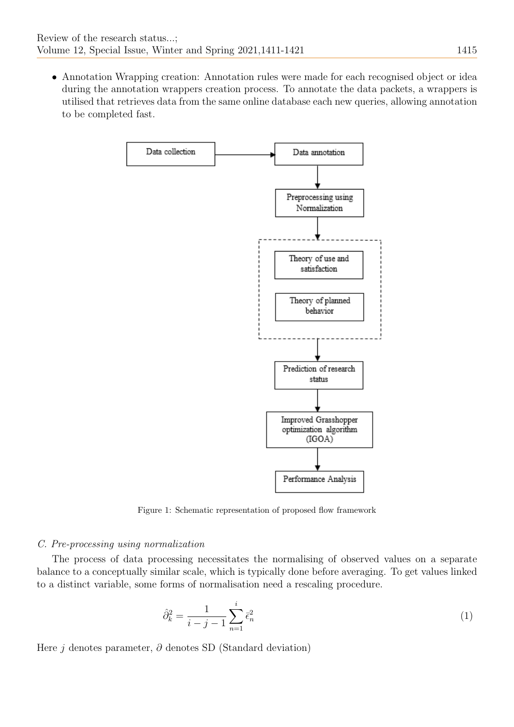• Annotation Wrapping creation: Annotation rules were made for each recognised object or idea during the annotation wrappers creation process. To annotate the data packets, a wrappers is utilised that retrieves data from the same online database each new queries, allowing annotation to be completed fast.



Figure 1: Schematic representation of proposed flow framework

## C. Pre-processing using normalization

The process of data processing necessitates the normalising of observed values on a separate balance to a conceptually similar scale, which is typically done before averaging. To get values linked to a distinct variable, some forms of normalisation need a rescaling procedure.

$$
\hat{\partial}_k^2 = \frac{1}{i - j - 1} \sum_{n=1}^i \bar{\epsilon}_n^2
$$
 (1)

Here j denotes parameter,  $\partial$  denotes SD (Standard deviation)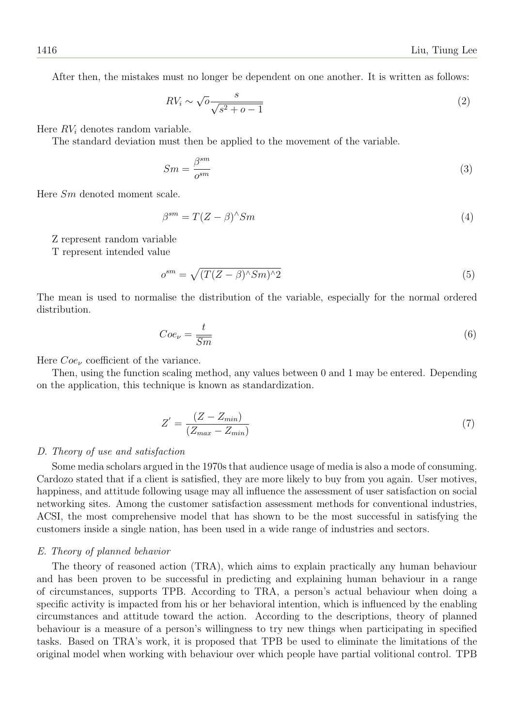After then, the mistakes must no longer be dependent on one another. It is written as follows:

$$
RV_i \sim \sqrt{0} \frac{s}{\sqrt{s^2 + o - 1}}
$$
\n<sup>(2)</sup>

Here  $RV<sub>i</sub>$  denotes random variable.

The standard deviation must then be applied to the movement of the variable.

$$
Sm = \frac{\beta^{sm}}{o^{sm}}\tag{3}
$$

Here Sm denoted moment scale.

$$
\beta^{sm} = T(Z - \beta)^{\wedge} Sm \tag{4}
$$

Z represent random variable

T represent intended value

$$
o^{sm} = \sqrt{(T(Z - \beta)^{\wedge} Sm)^{\wedge}2} \tag{5}
$$

The mean is used to normalise the distribution of the variable, especially for the normal ordered distribution.

$$
Coe_{\nu} = \frac{t}{\overline{Sm}}\tag{6}
$$

Here  $Coe<sub>\nu</sub>$  coefficient of the variance.

Then, using the function scaling method, any values between 0 and 1 may be entered. Depending on the application, this technique is known as standardization.

$$
Z' = \frac{(Z - Z_{min})}{(Z_{max} - Z_{min})}
$$
\n<sup>(7)</sup>

#### D. Theory of use and satisfaction

Some media scholars argued in the 1970s that audience usage of media is also a mode of consuming. Cardozo stated that if a client is satisfied, they are more likely to buy from you again. User motives, happiness, and attitude following usage may all influence the assessment of user satisfaction on social networking sites. Among the customer satisfaction assessment methods for conventional industries, ACSI, the most comprehensive model that has shown to be the most successful in satisfying the customers inside a single nation, has been used in a wide range of industries and sectors.

## E. Theory of planned behavior

The theory of reasoned action (TRA), which aims to explain practically any human behaviour and has been proven to be successful in predicting and explaining human behaviour in a range of circumstances, supports TPB. According to TRA, a person's actual behaviour when doing a specific activity is impacted from his or her behavioral intention, which is influenced by the enabling circumstances and attitude toward the action. According to the descriptions, theory of planned behaviour is a measure of a person's willingness to try new things when participating in specified tasks. Based on TRA's work, it is proposed that TPB be used to eliminate the limitations of the original model when working with behaviour over which people have partial volitional control. TPB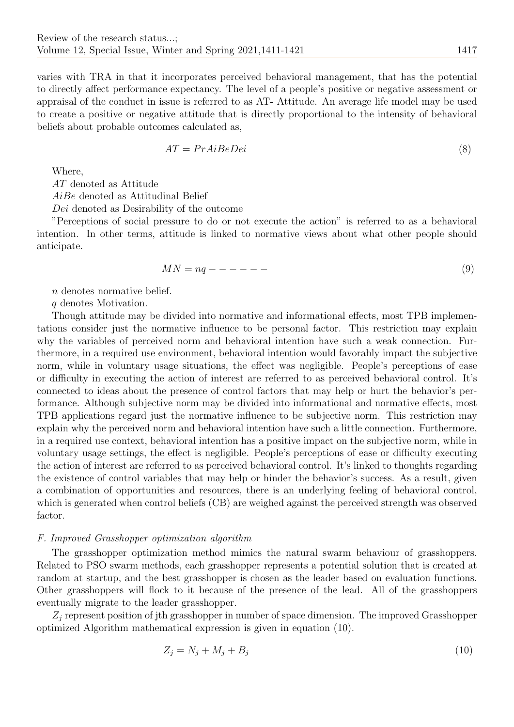varies with TRA in that it incorporates perceived behavioral management, that has the potential to directly affect performance expectancy. The level of a people's positive or negative assessment or appraisal of the conduct in issue is referred to as AT- Attitude. An average life model may be used to create a positive or negative attitude that is directly proportional to the intensity of behavioral beliefs about probable outcomes calculated as,

$$
AT = PrAiBeDei \tag{8}
$$

Where,

AT denoted as Attitude

AiBe denoted as Attitudinal Belief

Dei denoted as Desirability of the outcome

"Perceptions of social pressure to do or not execute the action" is referred to as a behavioral intention. In other terms, attitude is linked to normative views about what other people should anticipate.

$$
MN = nq - - - - - - \tag{9}
$$

n denotes normative belief.

q denotes Motivation.

Though attitude may be divided into normative and informational effects, most TPB implementations consider just the normative influence to be personal factor. This restriction may explain why the variables of perceived norm and behavioral intention have such a weak connection. Furthermore, in a required use environment, behavioral intention would favorably impact the subjective norm, while in voluntary usage situations, the effect was negligible. People's perceptions of ease or difficulty in executing the action of interest are referred to as perceived behavioral control. It's connected to ideas about the presence of control factors that may help or hurt the behavior's performance. Although subjective norm may be divided into informational and normative effects, most TPB applications regard just the normative influence to be subjective norm. This restriction may explain why the perceived norm and behavioral intention have such a little connection. Furthermore, in a required use context, behavioral intention has a positive impact on the subjective norm, while in voluntary usage settings, the effect is negligible. People's perceptions of ease or difficulty executing the action of interest are referred to as perceived behavioral control. It's linked to thoughts regarding the existence of control variables that may help or hinder the behavior's success. As a result, given a combination of opportunities and resources, there is an underlying feeling of behavioral control, which is generated when control beliefs (CB) are weighed against the perceived strength was observed factor.

## F. Improved Grasshopper optimization algorithm

The grasshopper optimization method mimics the natural swarm behaviour of grasshoppers. Related to PSO swarm methods, each grasshopper represents a potential solution that is created at random at startup, and the best grasshopper is chosen as the leader based on evaluation functions. Other grasshoppers will flock to it because of the presence of the lead. All of the grasshoppers eventually migrate to the leader grasshopper.

 $Z_j$  represent position of jth grasshopper in number of space dimension. The improved Grasshopper optimized Algorithm mathematical expression is given in equation (10).

$$
Z_j = N_j + M_j + B_j \tag{10}
$$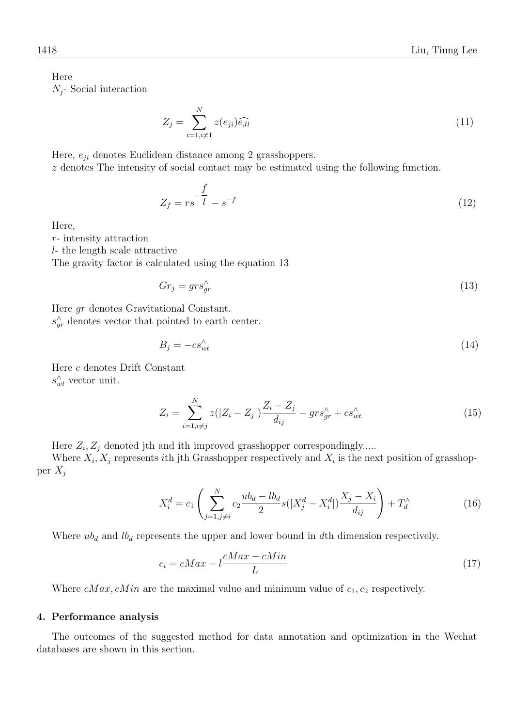Here  $N_i$ - Social interaction

$$
Z_j = \sum_{i=1, i \neq 1}^{N} z(e_{ji}) \widehat{e_{Jl}}
$$
\n(11)

Here,  $e_{ii}$  denotes Euclidean distance among 2 grasshoppers.

z denotes The intensity of social contact may be estimated using the following function.

$$
Z_f = rs \frac{f}{l} - s^{-f} \tag{12}
$$

Here,

r- intensity attraction

l- the length scale attractive

The gravity factor is calculated using the equation 13

$$
Gr_j = grs_{gr}^{\wedge} \tag{13}
$$

Here gr denotes Gravitational Constant.  $s_{gr}^{\wedge}$  denotes vector that pointed to earth center.

$$
B_j = -cs_{wt}^{\wedge} \tag{14}
$$

Here c denotes Drift Constant  $s_{wt}^{\wedge}$  vector unit.

$$
Z_i = \sum_{i=1, i \neq j}^{N} z(|Z_i - Z_j|) \frac{Z_i - Z_j}{d_{ij}} - gr s^{\wedge}_{gr} + cs^{\wedge}_{wt} \tag{15}
$$

Here  $Z_i, Z_j$  denoted jth and ith improved grasshopper correspondingly.....

Where  $X_i, X_j$  represents *i*th jth Grasshopper respectively and  $X_i$  is the next position of grasshopper  $X_i$ 

$$
X_i^d = c_1 \left( \sum_{j=1, j \neq i}^N c_2 \frac{ub_d - lb_d}{2} s(|X_j^d - X_i^d|) \frac{X_j - X_i}{d_{ij}} \right) + T_d^{\wedge} \tag{16}
$$

Where  $ub_d$  and  $lb_d$  represents the upper and lower bound in dth dimension respectively.

$$
c_i = cMax - l\frac{cMax - cMin}{L} \tag{17}
$$

Where  $cMax$ ,  $cMin$  are the maximal value and minimum value of  $c_1$ ,  $c_2$  respectively.

### 4. Performance analysis

The outcomes of the suggested method for data annotation and optimization in the Wechat databases are shown in this section.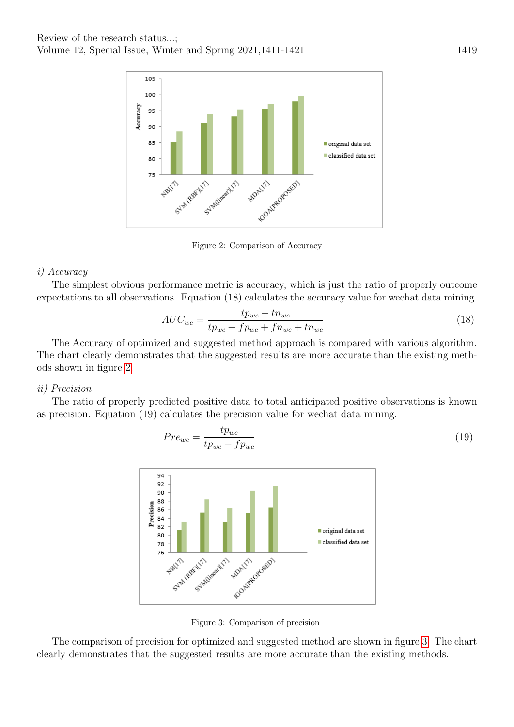

<span id="page-8-0"></span>Figure 2: Comparison of Accuracy

# i) Accuracy

The simplest obvious performance metric is accuracy, which is just the ratio of properly outcome expectations to all observations. Equation (18) calculates the accuracy value for wechat data mining.

$$
AUC_{wc} = \frac{tp_{wc} + tn_{wc}}{tp_{wc} + fp_{wc} + fn_{wc} + tn_{wc}}
$$
\n
$$
(18)
$$

The Accuracy of optimized and suggested method approach is compared with various algorithm. The chart clearly demonstrates that the suggested results are more accurate than the existing methods shown in figure [2.](#page-8-0)

## ii) Precision

The ratio of properly predicted positive data to total anticipated positive observations is known as precision. Equation (19) calculates the precision value for wechat data mining.

$$
Pre_{wc} = \frac{tp_{wc}}{tp_{wc} + fp_{wc}} \tag{19}
$$



<span id="page-8-1"></span>Figure 3: Comparison of precision

The comparison of precision for optimized and suggested method are shown in figure [3.](#page-8-1) The chart clearly demonstrates that the suggested results are more accurate than the existing methods.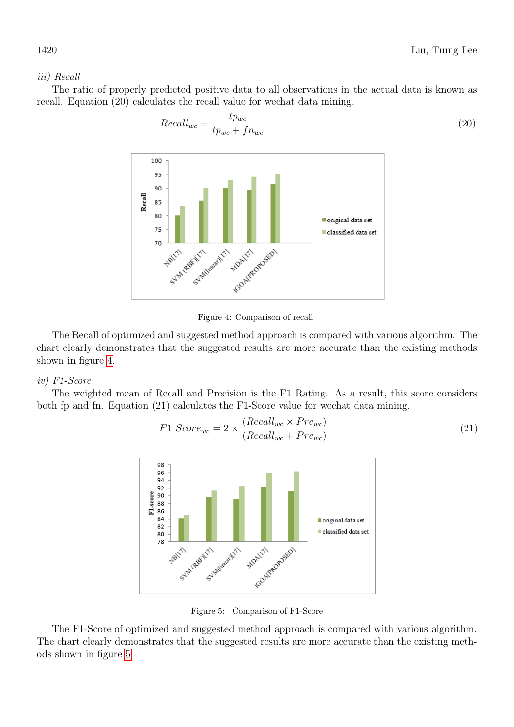<span id="page-9-0"></span>(20)

## iii) Recall

The ratio of properly predicted positive data to all observations in the actual data is known as recall. Equation (20) calculates the recall value for wechat data mining.

Recallwc = tpwc tpwc + fnwc

Figure 4: Comparison of recall

The Recall of optimized and suggested method approach is compared with various algorithm. The chart clearly demonstrates that the suggested results are more accurate than the existing methods shown in figure [4.](#page-9-0)

# iv) F1-Score

The weighted mean of Recall and Precision is the F1 Rating. As a result, this score considers both fp and fn. Equation (21) calculates the F1-Score value for wechat data mining.

$$
F1\ Score_{wc} = 2 \times \frac{(Recall_{wc} \times Pre_{wc})}{(Recall_{wc} + Pre_{wc})}
$$
\n
$$
(21)
$$



<span id="page-9-1"></span>Figure 5: Comparison of F1-Score

The F1-Score of optimized and suggested method approach is compared with various algorithm. The chart clearly demonstrates that the suggested results are more accurate than the existing methods shown in figure [5.](#page-9-1)